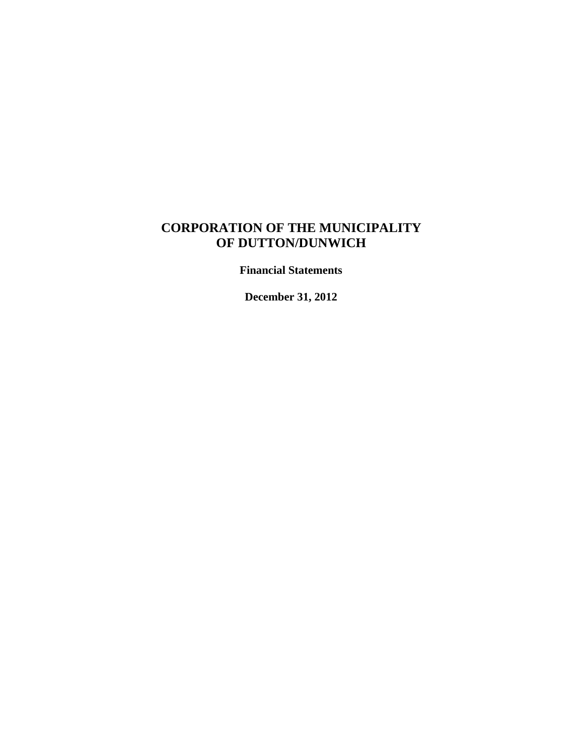**Financial Statements**

**December 31, 2012**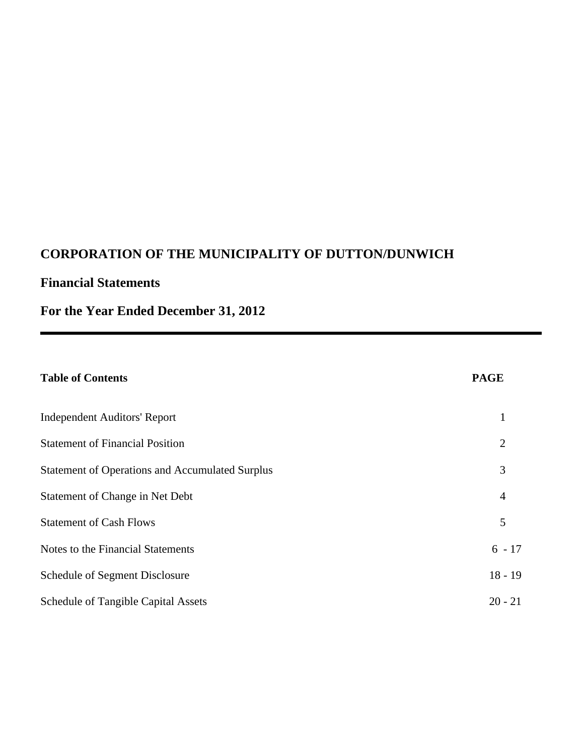# **Financial Statements**

# **For the Year Ended December 31, 2012**

| <b>Table of Contents</b>                               | <b>PAGE</b>    |
|--------------------------------------------------------|----------------|
| <b>Independent Auditors' Report</b>                    |                |
| <b>Statement of Financial Position</b>                 | $\overline{2}$ |
| <b>Statement of Operations and Accumulated Surplus</b> | 3              |
| Statement of Change in Net Debt                        | 4              |
| <b>Statement of Cash Flows</b>                         | 5              |
| Notes to the Financial Statements                      | $6 - 17$       |
| Schedule of Segment Disclosure                         | $18 - 19$      |
| Schedule of Tangible Capital Assets                    | $20 - 21$      |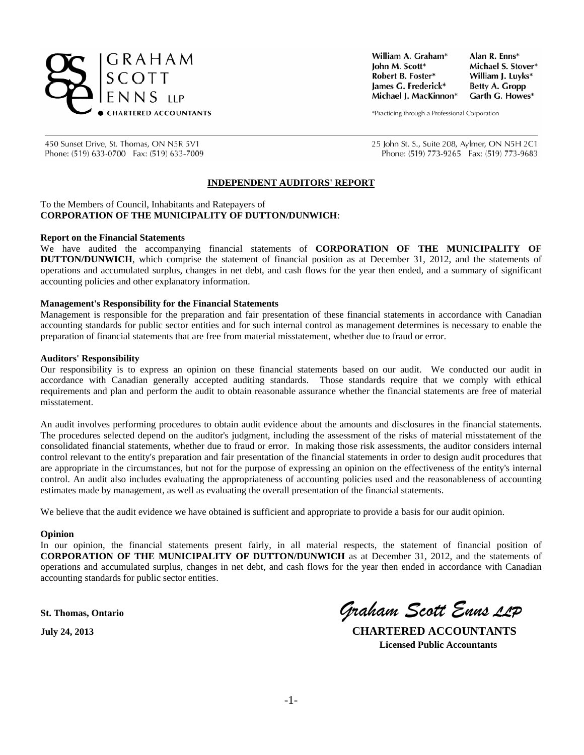

William A. Graham\* Alan R. Enns\* John M. Scott\* Michael S. Stover\* Robert B. Foster\* William J. Luyks\* lames G. Frederick\* Betty A. Gropp Michael J. MacKinnon\* Garth G. Howes\*

\*Practicing through a Professional Corporation

450 Sunset Drive, St. Thomas, ON N5R 5V1 Phone: (519) 633-0700 Fax: (519) 633-7009 25 John St. S., Suite 208, Avlmer, ON N5H 2C1 Phone: (519) 773-9265 Fax: (519) 773-9683

#### **INDEPENDENT AUDITORS' REPORT**

#### To the Members of Council, Inhabitants and Ratepayers of **CORPORATION OF THE MUNICIPALITY OF DUTTON/DUNWICH**:

#### **Report on the Financial Statements**

We have audited the accompanying financial statements of **CORPORATION OF THE MUNICIPALITY OF DUTTON/DUNWICH**, which comprise the statement of financial position as at December 31, 2012, and the statements of operations and accumulated surplus, changes in net debt, and cash flows for the year then ended, and a summary of significant accounting policies and other explanatory information.

#### **Management's Responsibility for the Financial Statements**

Management is responsible for the preparation and fair presentation of these financial statements in accordance with Canadian accounting standards for public sector entities and for such internal control as management determines is necessary to enable the preparation of financial statements that are free from material misstatement, whether due to fraud or error.

#### **Auditors' Responsibility**

Our responsibility is to express an opinion on these financial statements based on our audit. We conducted our audit in accordance with Canadian generally accepted auditing standards. Those standards require that we comply with ethical requirements and plan and perform the audit to obtain reasonable assurance whether the financial statements are free of material misstatement.

An audit involves performing procedures to obtain audit evidence about the amounts and disclosures in the financial statements. The procedures selected depend on the auditor's judgment, including the assessment of the risks of material misstatement of the consolidated financial statements, whether due to fraud or error. In making those risk assessments, the auditor considers internal control relevant to the entity's preparation and fair presentation of the financial statements in order to design audit procedures that are appropriate in the circumstances, but not for the purpose of expressing an opinion on the effectiveness of the entity's internal control. An audit also includes evaluating the appropriateness of accounting policies used and the reasonableness of accounting estimates made by management, as well as evaluating the overall presentation of the financial statements.

We believe that the audit evidence we have obtained is sufficient and appropriate to provide a basis for our audit opinion.

#### **Opinion**

In our opinion, the financial statements present fairly, in all material respects, the statement of financial position of **CORPORATION OF THE MUNICIPALITY OF DUTTON/DUNWICH** as at December 31, 2012, and the statements of operations and accumulated surplus, changes in net debt, and cash flows for the year then ended in accordance with Canadian accounting standards for public sector entities.

**St. Thomas, Ontario** *Graham Scott Enns LLP*

**July 24, 2013 CHARTERED ACCOUNTANTS Licensed Public Accountants**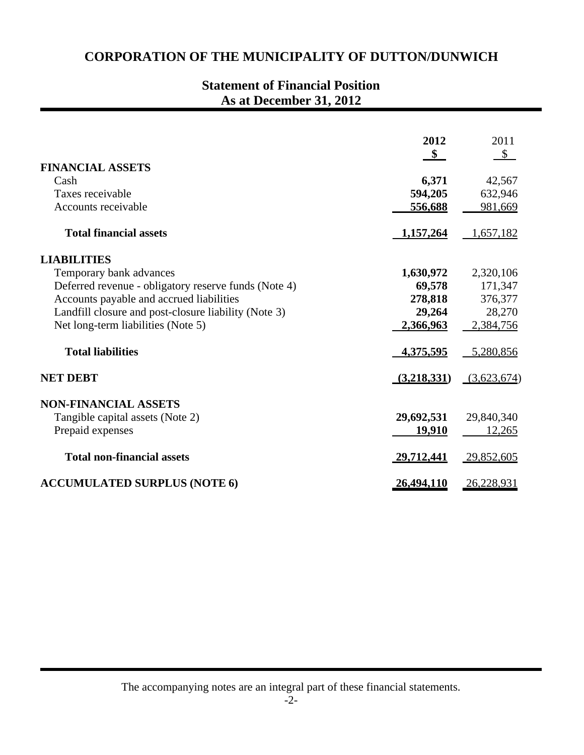# **Statement of Financial Position As at December 31, 2012**

|                                                      | 2012<br>$\sqrt{\frac{1}{2}}$ | 2011<br>$\mathcal{S}$ |
|------------------------------------------------------|------------------------------|-----------------------|
| <b>FINANCIAL ASSETS</b>                              |                              |                       |
| Cash                                                 | 6,371                        | 42,567                |
| Taxes receivable                                     | 594,205                      | 632,946               |
| Accounts receivable                                  | 556,688                      | 981,669               |
| <b>Total financial assets</b>                        | 1,157,264                    | 1,657,182             |
| <b>LIABILITIES</b>                                   |                              |                       |
| Temporary bank advances                              | 1,630,972                    | 2,320,106             |
| Deferred revenue - obligatory reserve funds (Note 4) | 69,578                       | 171,347               |
| Accounts payable and accrued liabilities             | 278,818                      | 376,377               |
| Landfill closure and post-closure liability (Note 3) | 29,264                       | 28,270                |
| Net long-term liabilities (Note 5)                   | 2,366,963                    | 2,384,756             |
| <b>Total liabilities</b>                             | <u>4,375,595</u>             | 5,280,856             |
| <b>NET DEBT</b>                                      | (3,218,331)                  | (3,623,674)           |
| <b>NON-FINANCIAL ASSETS</b>                          |                              |                       |
| Tangible capital assets (Note 2)                     | 29,692,531                   | 29,840,340            |
| Prepaid expenses                                     | 19,910                       | 12,265                |
| <b>Total non-financial assets</b>                    | 29,712,441                   | 29,852,605            |
| <b>ACCUMULATED SURPLUS (NOTE 6)</b>                  | 26,494,110                   | 26,228,931            |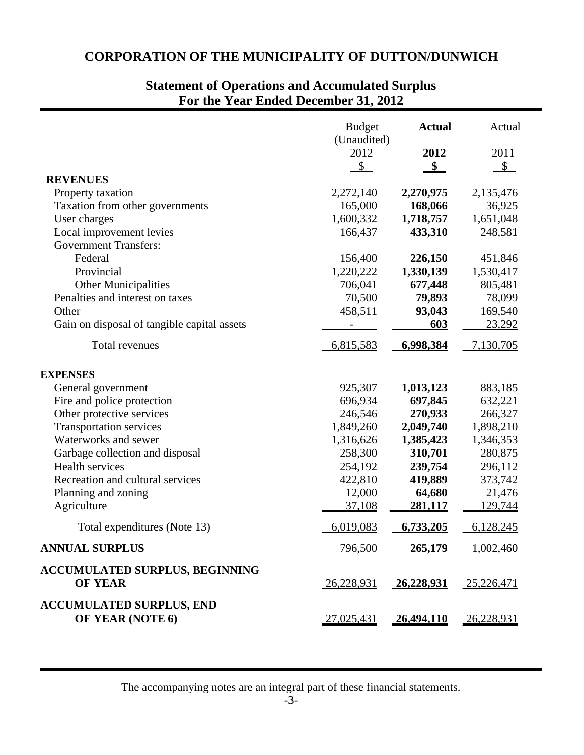|                                                         | <b>Budget</b><br>(Unaudited) | <b>Actual</b>     | Actual           |
|---------------------------------------------------------|------------------------------|-------------------|------------------|
|                                                         | 2012                         | 2012              | 2011             |
|                                                         | $\mathbb{S}$                 | $\sqrt{3}$        | $\mathcal{S}$    |
| <b>REVENUES</b>                                         |                              |                   |                  |
| Property taxation                                       | 2,272,140                    | 2,270,975         | 2,135,476        |
| Taxation from other governments                         | 165,000                      | 168,066           | 36,925           |
| User charges                                            | 1,600,332                    | 1,718,757         | 1,651,048        |
| Local improvement levies                                | 166,437                      | 433,310           | 248,581          |
| <b>Government Transfers:</b>                            |                              |                   |                  |
| Federal                                                 | 156,400                      | 226,150           | 451,846          |
| Provincial                                              | 1,220,222                    | 1,330,139         | 1,530,417        |
| <b>Other Municipalities</b>                             | 706,041                      | 677,448           | 805,481          |
| Penalties and interest on taxes                         | 70,500                       | 79,893            | 78,099           |
| Other                                                   | 458,511                      | 93,043            | 169,540          |
| Gain on disposal of tangible capital assets             |                              | 603               | 23,292           |
| <b>Total revenues</b>                                   | 6,815,583                    | 6,998,384         | <u>7,130,705</u> |
| <b>EXPENSES</b>                                         |                              |                   |                  |
| General government                                      | 925,307                      | 1,013,123         | 883,185          |
| Fire and police protection                              | 696,934                      | 697,845           | 632,221          |
| Other protective services                               | 246,546                      | 270,933           | 266,327          |
| <b>Transportation services</b>                          | 1,849,260                    | 2,049,740         | 1,898,210        |
| Waterworks and sewer                                    | 1,316,626                    | 1,385,423         | 1,346,353        |
| Garbage collection and disposal                         | 258,300                      | 310,701           | 280,875          |
| Health services                                         | 254,192                      | 239,754           | 296,112          |
| Recreation and cultural services                        | 422,810                      | 419,889           | 373,742          |
| Planning and zoning                                     | 12,000                       | 64,680            | 21,476           |
| Agriculture                                             | 37,108                       | <u>281,117</u>    | 129,744          |
| Total expenditures (Note 13)                            | 6,019,083                    | 6,733,205         | 6,128,245        |
| <b>ANNUAL SURPLUS</b>                                   | 796,500                      | 265,179           | 1,002,460        |
| <b>ACCUMULATED SURPLUS, BEGINNING</b><br><b>OF YEAR</b> | <u>26,228,931</u>            | 26,228,931        | 25,226,471       |
| <b>ACCUMULATED SURPLUS, END</b><br>OF YEAR (NOTE 6)     | <u>27,025,431</u>            | <u>26,494,110</u> | 26,228,931       |

# **Statement of Operations and Accumulated Surplus For the Year Ended December 31, 2012**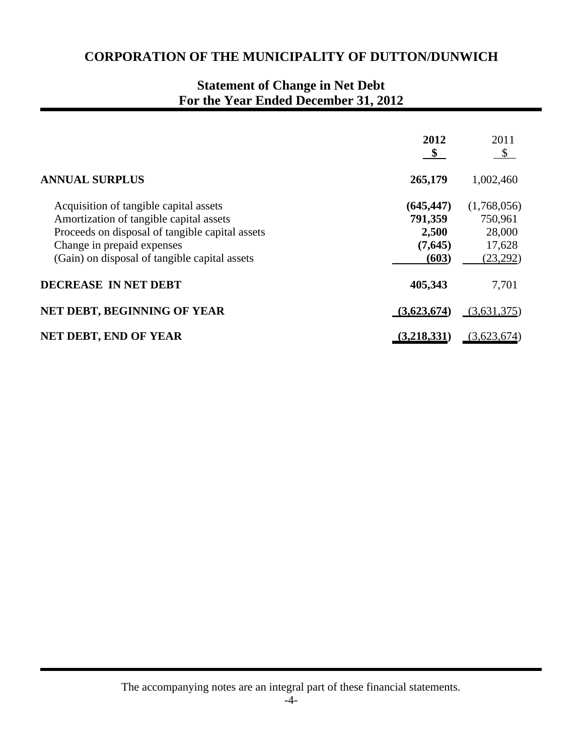# **Statement of Change in Net Debt For the Year Ended December 31, 2012**

|                                                                                                                                                                                                                     | 2012<br>$\bullet$                                  | 2011<br>$\mathcal{S}$                                  |
|---------------------------------------------------------------------------------------------------------------------------------------------------------------------------------------------------------------------|----------------------------------------------------|--------------------------------------------------------|
| <b>ANNUAL SURPLUS</b>                                                                                                                                                                                               | 265,179                                            | 1,002,460                                              |
| Acquisition of tangible capital assets<br>Amortization of tangible capital assets<br>Proceeds on disposal of tangible capital assets<br>Change in prepaid expenses<br>(Gain) on disposal of tangible capital assets | (645, 447)<br>791,359<br>2,500<br>(7,645)<br>(603) | (1,768,056)<br>750,961<br>28,000<br>17,628<br>(23,292) |
| DECREASE IN NET DEBT                                                                                                                                                                                                | 405,343                                            | 7,701                                                  |
| NET DEBT, BEGINNING OF YEAR                                                                                                                                                                                         | (3,623,674)                                        | (3,631,375)                                            |
| <b>NET DEBT, END OF YEAR</b>                                                                                                                                                                                        | (3,218,331)                                        | (3,623,674)                                            |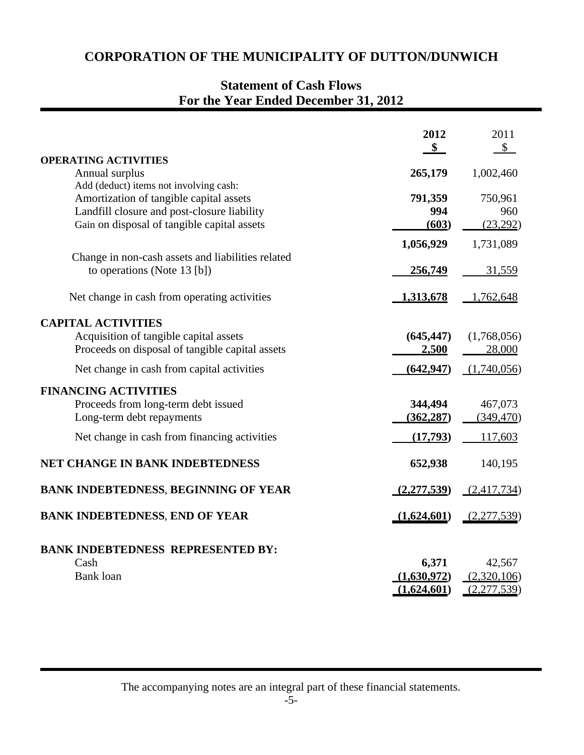# **Statement of Cash Flows For the Year Ended December 31, 2012**

|                                                                                                                                                                                 | 2012<br>$\mathbf{\$}$               | 2011<br>$\mathbb{S}$                 |
|---------------------------------------------------------------------------------------------------------------------------------------------------------------------------------|-------------------------------------|--------------------------------------|
| <b>OPERATING ACTIVITIES</b><br>Annual surplus                                                                                                                                   | 265,179                             | 1,002,460                            |
| Add (deduct) items not involving cash:<br>Amortization of tangible capital assets<br>Landfill closure and post-closure liability<br>Gain on disposal of tangible capital assets | 791,359<br>994<br>(603)             | 750,961<br>960<br>(23,292)           |
| Change in non-cash assets and liabilities related<br>to operations (Note 13 [b])                                                                                                | 1,056,929<br>256,749                | 1,731,089<br><u>31,559</u>           |
| Net change in cash from operating activities                                                                                                                                    | 1,313,678                           | 1,762,648                            |
| <b>CAPITAL ACTIVITIES</b><br>Acquisition of tangible capital assets<br>Proceeds on disposal of tangible capital assets<br>Net change in cash from capital activities            | (645, 447)<br>2,500<br>(642, 947)   | (1,768,056)<br>28,000<br>(1,740,056) |
| <b>FINANCING ACTIVITIES</b><br>Proceeds from long-term debt issued<br>Long-term debt repayments                                                                                 | 344,494<br>(362, 287)               | 467,073<br>(349, 470)                |
| Net change in cash from financing activities                                                                                                                                    | (17,793)                            | 117,603                              |
| NET CHANGE IN BANK INDEBTEDNESS                                                                                                                                                 | 652,938                             | 140,195                              |
| <b>BANK INDEBTEDNESS, BEGINNING OF YEAR</b>                                                                                                                                     | (2,277,539)                         | (2,417,734)                          |
| <b>BANK INDEBTEDNESS, END OF YEAR</b>                                                                                                                                           | (1,624,601)                         | (2,277,539)                          |
| <b>BANK INDEBTEDNESS REPRESENTED BY:</b><br>Cash<br><b>Bank</b> loan                                                                                                            | 6,371<br>(1,630,972)<br>(1,624,601) | 42,567<br>(2,320,106)<br>(2,277,539) |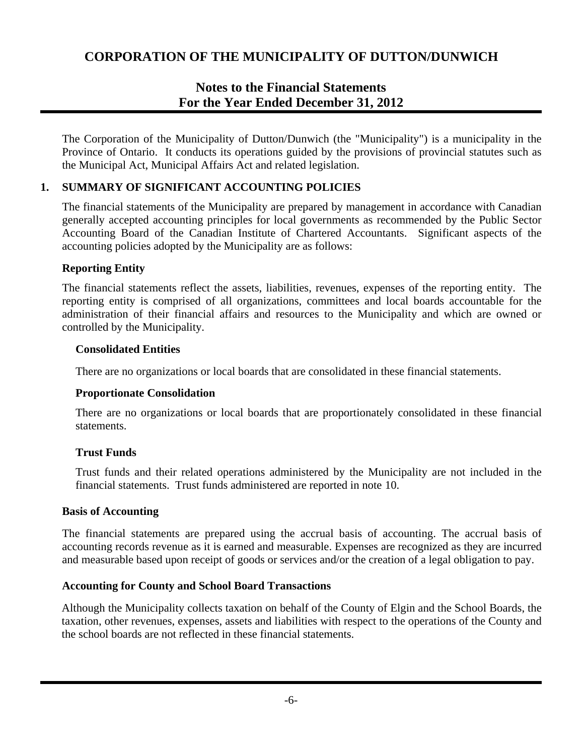### **Notes to the Financial Statements For the Year Ended December 31, 2012**

The Corporation of the Municipality of Dutton/Dunwich (the "Municipality") is a municipality in the Province of Ontario. It conducts its operations guided by the provisions of provincial statutes such as the Municipal Act, Municipal Affairs Act and related legislation.

### **1. SUMMARY OF SIGNIFICANT ACCOUNTING POLICIES**

The financial statements of the Municipality are prepared by management in accordance with Canadian generally accepted accounting principles for local governments as recommended by the Public Sector Accounting Board of the Canadian Institute of Chartered Accountants. Significant aspects of the accounting policies adopted by the Municipality are as follows:

#### **Reporting Entity**

The financial statements reflect the assets, liabilities, revenues, expenses of the reporting entity. The reporting entity is comprised of all organizations, committees and local boards accountable for the administration of their financial affairs and resources to the Municipality and which are owned or controlled by the Municipality.

#### **Consolidated Entities**

There are no organizations or local boards that are consolidated in these financial statements.

### **Proportionate Consolidation**

There are no organizations or local boards that are proportionately consolidated in these financial statements.

### **Trust Funds**

Trust funds and their related operations administered by the Municipality are not included in the financial statements. Trust funds administered are reported in note 10.

#### **Basis of Accounting**

The financial statements are prepared using the accrual basis of accounting. The accrual basis of accounting records revenue as it is earned and measurable. Expenses are recognized as they are incurred and measurable based upon receipt of goods or services and/or the creation of a legal obligation to pay.

### **Accounting for County and School Board Transactions**

Although the Municipality collects taxation on behalf of the County of Elgin and the School Boards, the taxation, other revenues, expenses, assets and liabilities with respect to the operations of the County and the school boards are not reflected in these financial statements.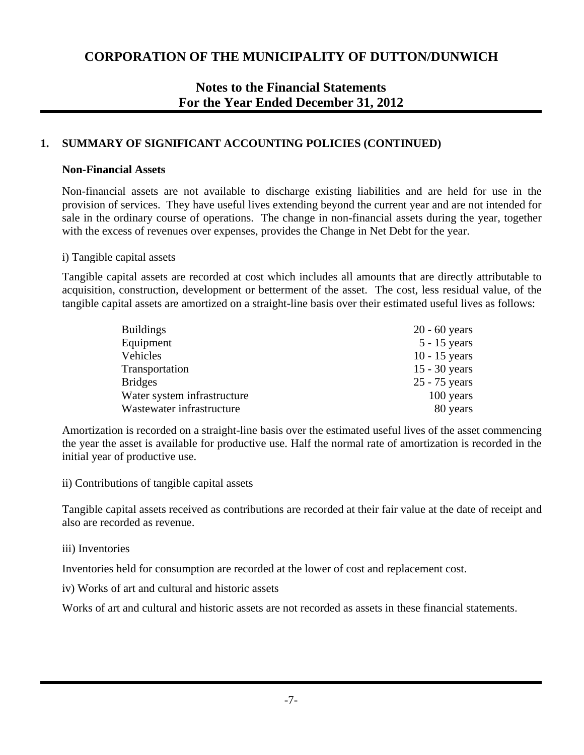### **Notes to the Financial Statements For the Year Ended December 31, 2012**

### **1. SUMMARY OF SIGNIFICANT ACCOUNTING POLICIES (CONTINUED)**

#### **Non-Financial Assets**

Non-financial assets are not available to discharge existing liabilities and are held for use in the provision of services. They have useful lives extending beyond the current year and are not intended for sale in the ordinary course of operations. The change in non-financial assets during the year, together with the excess of revenues over expenses, provides the Change in Net Debt for the year.

#### i) Tangible capital assets

Tangible capital assets are recorded at cost which includes all amounts that are directly attributable to acquisition, construction, development or betterment of the asset. The cost, less residual value, of the tangible capital assets are amortized on a straight-line basis over their estimated useful lives as follows:

| <b>Buildings</b>            | $20 - 60$ years |
|-----------------------------|-----------------|
| Equipment                   | $5 - 15$ years  |
| Vehicles                    | $10 - 15$ years |
| Transportation              | $15 - 30$ years |
| <b>Bridges</b>              | 25 - 75 years   |
| Water system infrastructure | 100 years       |
| Wastewater infrastructure   | 80 years        |

Amortization is recorded on a straight-line basis over the estimated useful lives of the asset commencing the year the asset is available for productive use. Half the normal rate of amortization is recorded in the initial year of productive use.

ii) Contributions of tangible capital assets

Tangible capital assets received as contributions are recorded at their fair value at the date of receipt and also are recorded as revenue.

#### iii) Inventories

Inventories held for consumption are recorded at the lower of cost and replacement cost.

iv) Works of art and cultural and historic assets

Works of art and cultural and historic assets are not recorded as assets in these financial statements.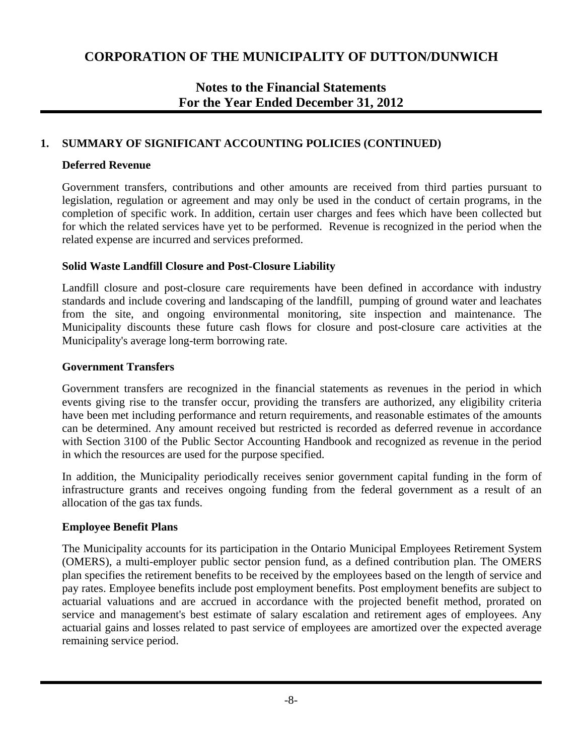### **Notes to the Financial Statements For the Year Ended December 31, 2012**

### **1. SUMMARY OF SIGNIFICANT ACCOUNTING POLICIES (CONTINUED)**

#### **Deferred Revenue**

Government transfers, contributions and other amounts are received from third parties pursuant to legislation, regulation or agreement and may only be used in the conduct of certain programs, in the completion of specific work. In addition, certain user charges and fees which have been collected but for which the related services have yet to be performed. Revenue is recognized in the period when the related expense are incurred and services preformed.

### **Solid Waste Landfill Closure and Post-Closure Liability**

Landfill closure and post-closure care requirements have been defined in accordance with industry standards and include covering and landscaping of the landfill, pumping of ground water and leachates from the site, and ongoing environmental monitoring, site inspection and maintenance. The Municipality discounts these future cash flows for closure and post-closure care activities at the Municipality's average long-term borrowing rate.

#### **Government Transfers**

Government transfers are recognized in the financial statements as revenues in the period in which events giving rise to the transfer occur, providing the transfers are authorized, any eligibility criteria have been met including performance and return requirements, and reasonable estimates of the amounts can be determined. Any amount received but restricted is recorded as deferred revenue in accordance with Section 3100 of the Public Sector Accounting Handbook and recognized as revenue in the period in which the resources are used for the purpose specified.

In addition, the Municipality periodically receives senior government capital funding in the form of infrastructure grants and receives ongoing funding from the federal government as a result of an allocation of the gas tax funds.

### **Employee Benefit Plans**

The Municipality accounts for its participation in the Ontario Municipal Employees Retirement System (OMERS), a multi-employer public sector pension fund, as a defined contribution plan. The OMERS plan specifies the retirement benefits to be received by the employees based on the length of service and pay rates. Employee benefits include post employment benefits. Post employment benefits are subject to actuarial valuations and are accrued in accordance with the projected benefit method, prorated on service and management's best estimate of salary escalation and retirement ages of employees. Any actuarial gains and losses related to past service of employees are amortized over the expected average remaining service period.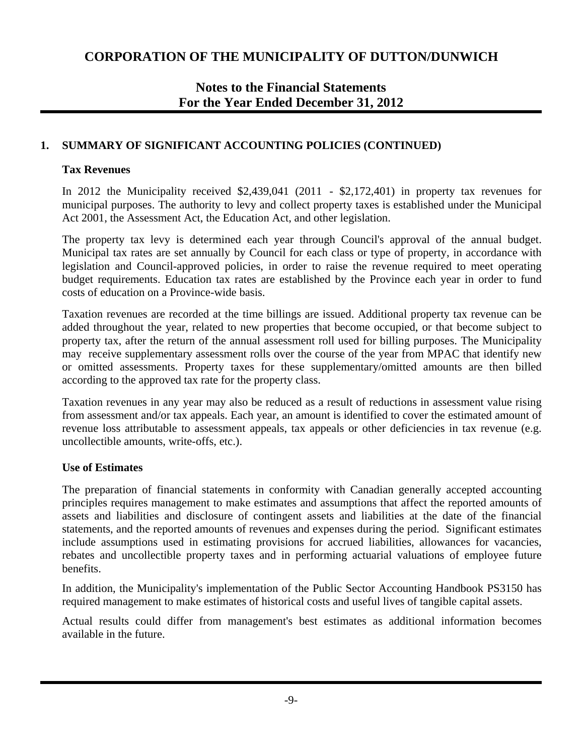### **Notes to the Financial Statements For the Year Ended December 31, 2012**

### **1. SUMMARY OF SIGNIFICANT ACCOUNTING POLICIES (CONTINUED)**

### **Tax Revenues**

In 2012 the Municipality received \$2,439,041 (2011 - \$2,172,401) in property tax revenues for municipal purposes. The authority to levy and collect property taxes is established under the Municipal Act 2001, the Assessment Act, the Education Act, and other legislation.

The property tax levy is determined each year through Council's approval of the annual budget. Municipal tax rates are set annually by Council for each class or type of property, in accordance with legislation and Council-approved policies, in order to raise the revenue required to meet operating budget requirements. Education tax rates are established by the Province each year in order to fund costs of education on a Province-wide basis.

Taxation revenues are recorded at the time billings are issued. Additional property tax revenue can be added throughout the year, related to new properties that become occupied, or that become subject to property tax, after the return of the annual assessment roll used for billing purposes. The Municipality may receive supplementary assessment rolls over the course of the year from MPAC that identify new or omitted assessments. Property taxes for these supplementary/omitted amounts are then billed according to the approved tax rate for the property class.

Taxation revenues in any year may also be reduced as a result of reductions in assessment value rising from assessment and/or tax appeals. Each year, an amount is identified to cover the estimated amount of revenue loss attributable to assessment appeals, tax appeals or other deficiencies in tax revenue (e.g. uncollectible amounts, write-offs, etc.).

### **Use of Estimates**

The preparation of financial statements in conformity with Canadian generally accepted accounting principles requires management to make estimates and assumptions that affect the reported amounts of assets and liabilities and disclosure of contingent assets and liabilities at the date of the financial statements, and the reported amounts of revenues and expenses during the period. Significant estimates include assumptions used in estimating provisions for accrued liabilities, allowances for vacancies, rebates and uncollectible property taxes and in performing actuarial valuations of employee future benefits.

In addition, the Municipality's implementation of the Public Sector Accounting Handbook PS3150 has required management to make estimates of historical costs and useful lives of tangible capital assets.

Actual results could differ from management's best estimates as additional information becomes available in the future.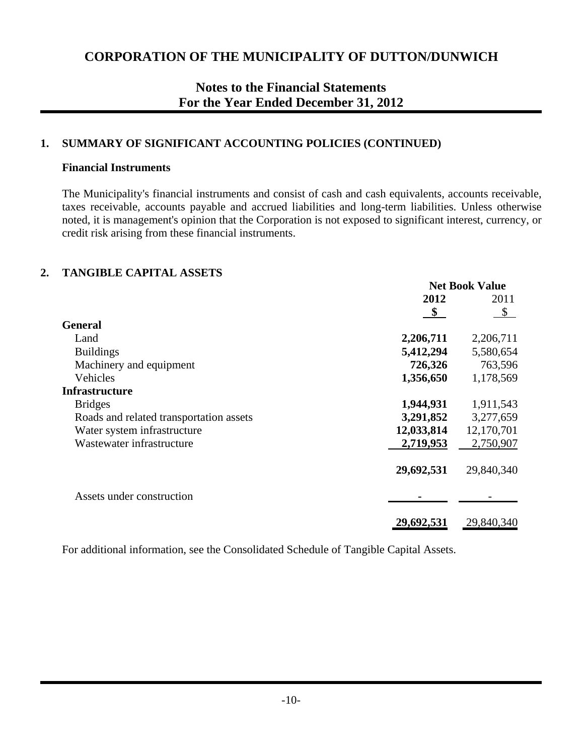### **Notes to the Financial Statements For the Year Ended December 31, 2012**

### **1. SUMMARY OF SIGNIFICANT ACCOUNTING POLICIES (CONTINUED)**

#### **Financial Instruments**

The Municipality's financial instruments and consist of cash and cash equivalents, accounts receivable, taxes receivable, accounts payable and accrued liabilities and long-term liabilities. Unless otherwise noted, it is management's opinion that the Corporation is not exposed to significant interest, currency, or credit risk arising from these financial instruments.

#### **2. TANGIBLE CAPITAL ASSETS**

|                                         | <b>Net Book Value</b> |               |
|-----------------------------------------|-----------------------|---------------|
|                                         | 2012                  | 2011          |
|                                         | \$                    | $\mathcal{S}$ |
| <b>General</b>                          |                       |               |
| Land                                    | 2,206,711             | 2,206,711     |
| <b>Buildings</b>                        | 5,412,294             | 5,580,654     |
| Machinery and equipment                 | 726,326               | 763,596       |
| Vehicles                                | 1,356,650             | 1,178,569     |
| <b>Infrastructure</b>                   |                       |               |
| <b>Bridges</b>                          | 1,944,931             | 1,911,543     |
| Roads and related transportation assets | 3,291,852             | 3,277,659     |
| Water system infrastructure             | 12,033,814            | 12,170,701    |
| Wastewater infrastructure               | 2,719,953             | 2,750,907     |
|                                         | 29,692,531            | 29,840,340    |
| Assets under construction               |                       |               |
|                                         | 29,692,531            | 29,840,340    |

For additional information, see the Consolidated Schedule of Tangible Capital Assets.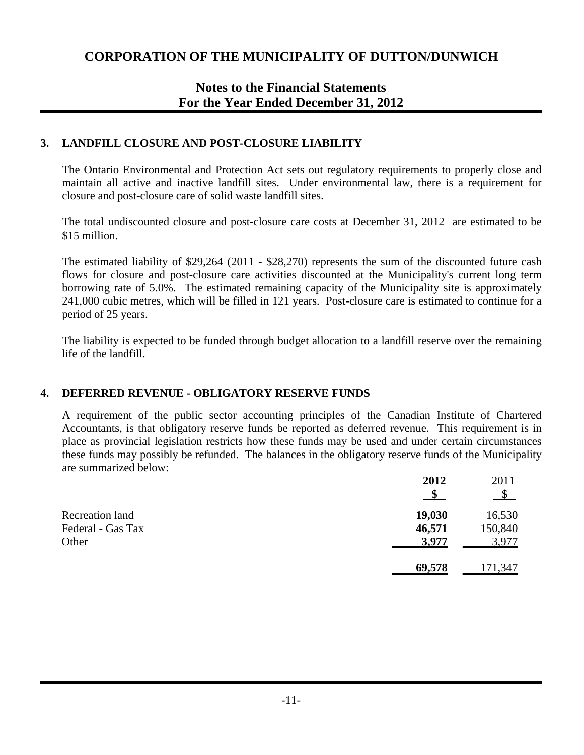### **Notes to the Financial Statements For the Year Ended December 31, 2012**

### **3. LANDFILL CLOSURE AND POST-CLOSURE LIABILITY**

The Ontario Environmental and Protection Act sets out regulatory requirements to properly close and maintain all active and inactive landfill sites. Under environmental law, there is a requirement for closure and post-closure care of solid waste landfill sites.

The total undiscounted closure and post-closure care costs at December 31, 2012 are estimated to be \$15 million.

The estimated liability of \$29,264 (2011 - \$28,270) represents the sum of the discounted future cash flows for closure and post-closure care activities discounted at the Municipality's current long term borrowing rate of 5.0%. The estimated remaining capacity of the Municipality site is approximately 241,000 cubic metres, which will be filled in 121 years. Post-closure care is estimated to continue for a period of 25 years.

The liability is expected to be funded through budget allocation to a landfill reserve over the remaining life of the landfill.

### **4. DEFERRED REVENUE - OBLIGATORY RESERVE FUNDS**

A requirement of the public sector accounting principles of the Canadian Institute of Chartered Accountants, is that obligatory reserve funds be reported as deferred revenue. This requirement is in place as provincial legislation restricts how these funds may be used and under certain circumstances these funds may possibly be refunded. The balances in the obligatory reserve funds of the Municipality are summarized below:

|                   | 2012   | 2011    |
|-------------------|--------|---------|
| Recreation land   | 19,030 | 16,530  |
| Federal - Gas Tax | 46,571 | 150,840 |
| Other             | 3,977  | 3,977   |
|                   | 69,578 | 171,347 |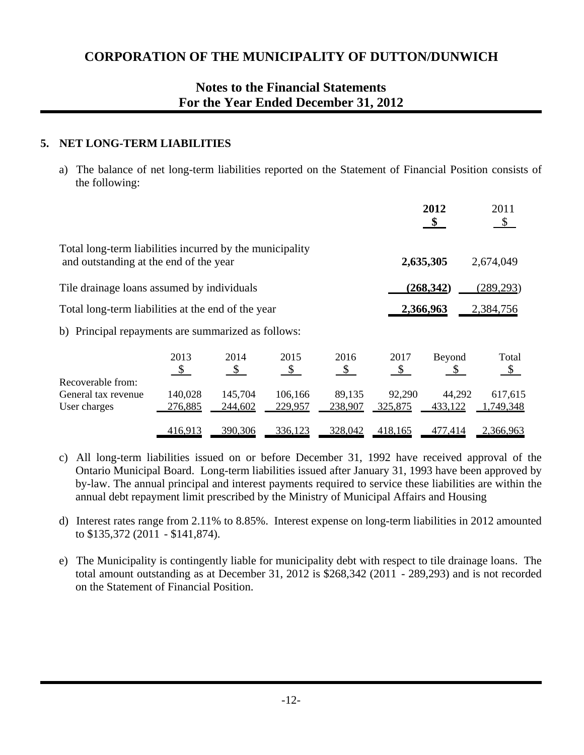### **Notes to the Financial Statements For the Year Ended December 31, 2012**

#### **5. NET LONG-TERM LIABILITIES**

a) The balance of net long-term liabilities reported on the Statement of Financial Position consists of the following:

|                                                                                                    |                           |                              |                           |                    |                       | 2012<br>$\frac{1}{2}$  | 2011<br>$\mathcal{S}$ |
|----------------------------------------------------------------------------------------------------|---------------------------|------------------------------|---------------------------|--------------------|-----------------------|------------------------|-----------------------|
| Total long-term liabilities incurred by the municipality<br>and outstanding at the end of the year |                           |                              |                           |                    |                       | 2,635,305              | 2,674,049             |
| Tile drainage loans assumed by individuals                                                         |                           |                              |                           |                    |                       | (268, 342)             | (289, 293)            |
| Total long-term liabilities at the end of the year                                                 |                           |                              |                           |                    |                       | 2,366,963              | 2,384,756             |
| b) Principal repayments are summarized as follows:                                                 |                           |                              |                           |                    |                       |                        |                       |
|                                                                                                    | 2013<br>$\mathcal{S}$     | 2014<br>$\sqrt{\frac{2}{5}}$ | 2015<br>$\mathcal{S}$     | 2016<br>$\sqrt{S}$ | 2017<br>$\mathcal{S}$ | Beyond<br><sup>S</sup> | Total<br>S            |
| Recoverable from:<br>General tax revenue<br>User charges                                           | 140,028<br><u>276,885</u> | 145,704<br>244,602           | 106,166<br><u>229,957</u> | 89,135<br>238,907  | 92,290<br>325,875     | 44,292<br>433,122      | 617,615<br>1,749,348  |
|                                                                                                    | 416,913                   | 390,306                      | 336,123                   | 328,042            | 418,165               | 477,414                | 2,366,963             |

- c) All long-term liabilities issued on or before December 31, 1992 have received approval of the Ontario Municipal Board. Long-term liabilities issued after January 31, 1993 have been approved by by-law. The annual principal and interest payments required to service these liabilities are within the annual debt repayment limit prescribed by the Ministry of Municipal Affairs and Housing
- d) Interest rates range from 2.11% to 8.85%. Interest expense on long-term liabilities in 2012 amounted to \$135,372 (2011 - \$141,874).
- e) The Municipality is contingently liable for municipality debt with respect to tile drainage loans. The total amount outstanding as at December 31, 2012 is \$268,342 (2011 - 289,293) and is not recorded on the Statement of Financial Position.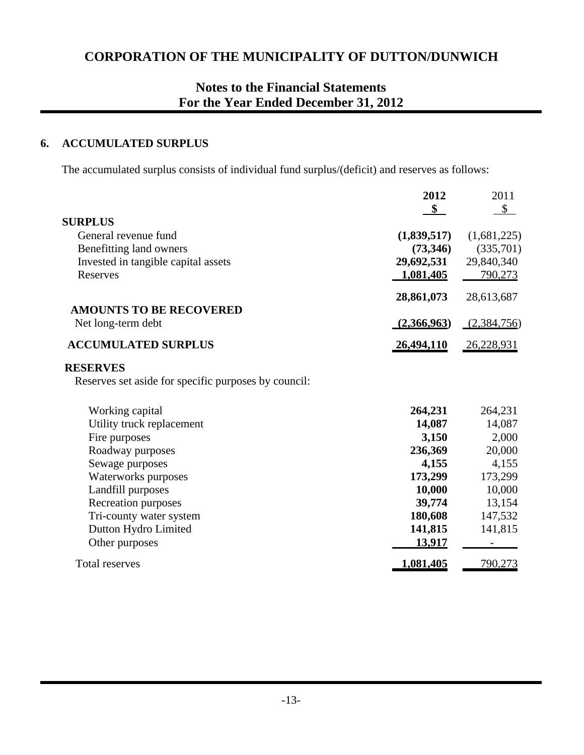# **Notes to the Financial Statements For the Year Ended December 31, 2012**

## **6. ACCUMULATED SURPLUS**

The accumulated surplus consists of individual fund surplus/(deficit) and reserves as follows:

|                                                      | 2012               | 2011          |
|------------------------------------------------------|--------------------|---------------|
|                                                      | $\mathbf{\hat{s}}$ | $\mathsf{\$}$ |
| <b>SURPLUS</b>                                       |                    |               |
| General revenue fund                                 | (1,839,517)        | (1,681,225)   |
| Benefitting land owners                              | (73,346)           | (335,701)     |
| Invested in tangible capital assets                  | 29,692,531         | 29,840,340    |
| Reserves                                             | 1,081,405          | 790,273       |
|                                                      | 28,861,073         | 28,613,687    |
| <b>AMOUNTS TO BE RECOVERED</b>                       |                    |               |
| Net long-term debt                                   | (2,366,963)        | (2,384,756)   |
| <b>ACCUMULATED SURPLUS</b>                           | 26,494,110         | 26,228,931    |
| <b>RESERVES</b>                                      |                    |               |
| Reserves set aside for specific purposes by council: |                    |               |
| Working capital                                      | 264,231            | 264,231       |
| Utility truck replacement                            | 14,087             | 14,087        |
| Fire purposes                                        | 3,150              | 2,000         |
| Roadway purposes                                     | 236,369            | 20,000        |
| Sewage purposes                                      | 4,155              | 4,155         |
| Waterworks purposes                                  | 173,299            | 173,299       |
| Landfill purposes                                    | 10,000             | 10,000        |
| Recreation purposes                                  | 39,774             | 13,154        |
| Tri-county water system                              | 180,608            | 147,532       |
| Dutton Hydro Limited                                 | 141,815            | 141,815       |
| Other purposes                                       | 13,917             |               |
| Total reserves                                       | 1,081,405          | 790,273       |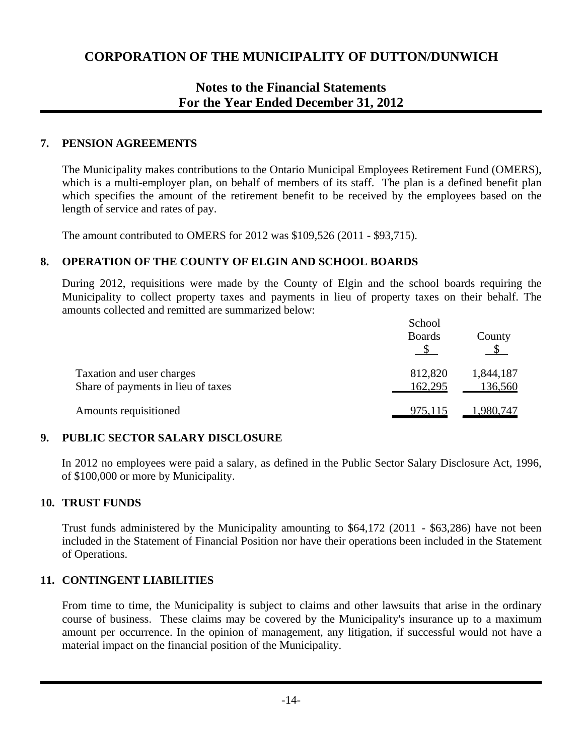### **Notes to the Financial Statements For the Year Ended December 31, 2012**

#### **7. PENSION AGREEMENTS**

The Municipality makes contributions to the Ontario Municipal Employees Retirement Fund (OMERS), which is a multi-employer plan, on behalf of members of its staff. The plan is a defined benefit plan which specifies the amount of the retirement benefit to be received by the employees based on the length of service and rates of pay.

The amount contributed to OMERS for 2012 was \$109,526 (2011 - \$93,715).

#### **8. OPERATION OF THE COUNTY OF ELGIN AND SCHOOL BOARDS**

During 2012, requisitions were made by the County of Elgin and the school boards requiring the Municipality to collect property taxes and payments in lieu of property taxes on their behalf. The amounts collected and remitted are summarized below:

|                                                                 | School<br><b>Boards</b> | County               |
|-----------------------------------------------------------------|-------------------------|----------------------|
| Taxation and user charges<br>Share of payments in lieu of taxes | 812,820<br>162,295      | 1,844,187<br>136,560 |
| Amounts requisitioned                                           | <u>975,115</u>          | 1,980,747            |

### **9. PUBLIC SECTOR SALARY DISCLOSURE**

In 2012 no employees were paid a salary, as defined in the Public Sector Salary Disclosure Act, 1996, of \$100,000 or more by Municipality.

#### **10. TRUST FUNDS**

Trust funds administered by the Municipality amounting to \$64,172 (2011 - \$63,286) have not been included in the Statement of Financial Position nor have their operations been included in the Statement of Operations.

### **11. CONTINGENT LIABILITIES**

From time to time, the Municipality is subject to claims and other lawsuits that arise in the ordinary course of business. These claims may be covered by the Municipality's insurance up to a maximum amount per occurrence. In the opinion of management, any litigation, if successful would not have a material impact on the financial position of the Municipality.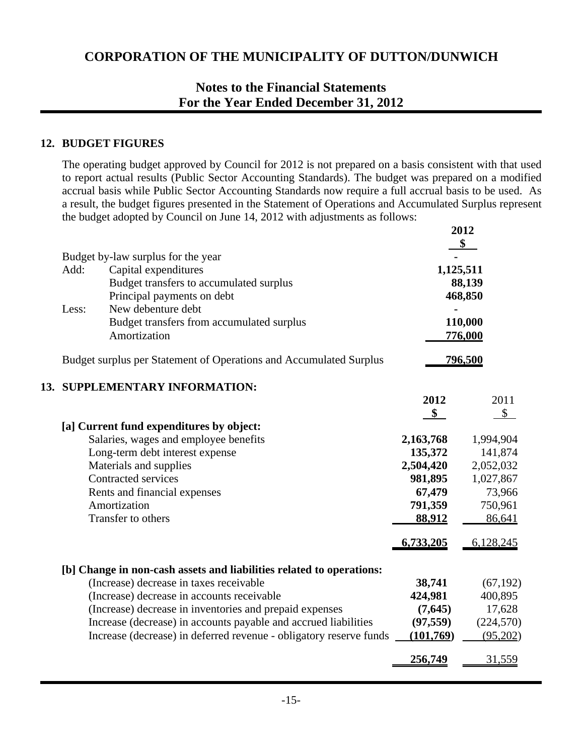## **Notes to the Financial Statements For the Year Ended December 31, 2012**

### **12. BUDGET FIGURES**

The operating budget approved by Council for 2012 is not prepared on a basis consistent with that used to report actual results (Public Sector Accounting Standards). The budget was prepared on a modified accrual basis while Public Sector Accounting Standards now require a full accrual basis to be used. As a result, the budget figures presented in the Statement of Operations and Accumulated Surplus represent the budget adopted by Council on June 14, 2012 with adjustments as follows: **2012**

|     | Add:<br>Less: | Budget by-law surplus for the year<br>Capital expenditures<br>Budget transfers to accumulated surplus<br>Principal payments on debt<br>New debenture debt<br>Budget transfers from accumulated surplus<br>Amortization<br>Budget surplus per Statement of Operations and Accumulated Surplus | 1,125,511  | 2012<br>\$<br>88,139<br>468,850<br>110,000<br><b>776,000</b><br><u>796,500</u> |
|-----|---------------|----------------------------------------------------------------------------------------------------------------------------------------------------------------------------------------------------------------------------------------------------------------------------------------------|------------|--------------------------------------------------------------------------------|
| 13. |               | SUPPLEMENTARY INFORMATION:                                                                                                                                                                                                                                                                   |            |                                                                                |
|     |               |                                                                                                                                                                                                                                                                                              | 2012       | 2011                                                                           |
|     |               |                                                                                                                                                                                                                                                                                              | $\sqrt{s}$ | $\underline{\underline{\$}}$                                                   |
|     |               | [a] Current fund expenditures by object:                                                                                                                                                                                                                                                     |            |                                                                                |
|     |               | Salaries, wages and employee benefits                                                                                                                                                                                                                                                        | 2,163,768  | 1,994,904                                                                      |
|     |               | Long-term debt interest expense                                                                                                                                                                                                                                                              | 135,372    | 141,874                                                                        |
|     |               | Materials and supplies                                                                                                                                                                                                                                                                       | 2,504,420  | 2,052,032                                                                      |
|     |               | Contracted services                                                                                                                                                                                                                                                                          | 981,895    | 1,027,867                                                                      |
|     |               | Rents and financial expenses                                                                                                                                                                                                                                                                 | 67,479     | 73,966                                                                         |
|     |               | Amortization                                                                                                                                                                                                                                                                                 | 791,359    | 750,961                                                                        |
|     |               | Transfer to others                                                                                                                                                                                                                                                                           | 88,912     | 86,641                                                                         |
|     |               |                                                                                                                                                                                                                                                                                              | 6,733,205  | 6,128,245                                                                      |
|     |               | [b] Change in non-cash assets and liabilities related to operations:                                                                                                                                                                                                                         |            |                                                                                |
|     |               | (Increase) decrease in taxes receivable                                                                                                                                                                                                                                                      | 38,741     | (67, 192)                                                                      |
|     |               | (Increase) decrease in accounts receivable                                                                                                                                                                                                                                                   | 424,981    | 400,895                                                                        |
|     |               | (Increase) decrease in inventories and prepaid expenses                                                                                                                                                                                                                                      | (7,645)    | 17,628                                                                         |
|     |               | Increase (decrease) in accounts payable and accrued liabilities                                                                                                                                                                                                                              | (97, 559)  | (224, 570)                                                                     |
|     |               | Increase (decrease) in deferred revenue - obligatory reserve funds                                                                                                                                                                                                                           | (101,769)  | (95,202)                                                                       |
|     |               |                                                                                                                                                                                                                                                                                              | 256,749    | 31,559                                                                         |
|     |               |                                                                                                                                                                                                                                                                                              |            |                                                                                |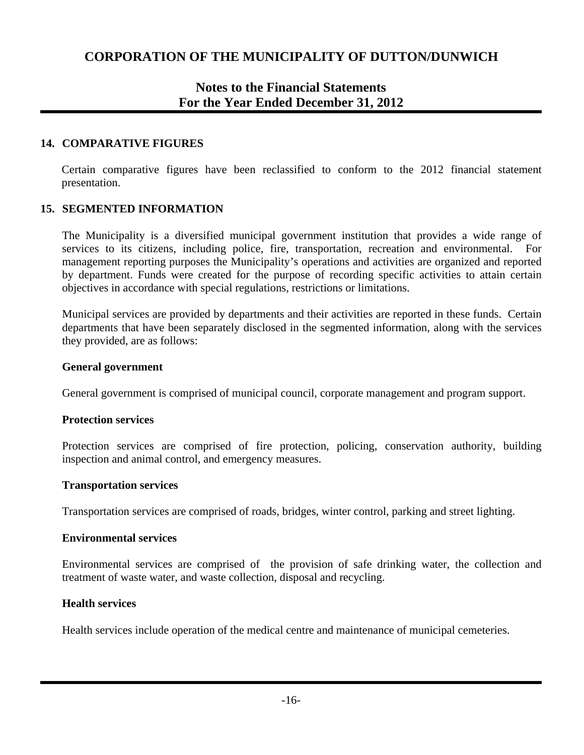### **Notes to the Financial Statements For the Year Ended December 31, 2012**

### **14. COMPARATIVE FIGURES**

Certain comparative figures have been reclassified to conform to the 2012 financial statement presentation.

#### **15. SEGMENTED INFORMATION**

The Municipality is a diversified municipal government institution that provides a wide range of services to its citizens, including police, fire, transportation, recreation and environmental. For management reporting purposes the Municipality's operations and activities are organized and reported by department. Funds were created for the purpose of recording specific activities to attain certain objectives in accordance with special regulations, restrictions or limitations.

Municipal services are provided by departments and their activities are reported in these funds. Certain departments that have been separately disclosed in the segmented information, along with the services they provided, are as follows:

#### **General government**

General government is comprised of municipal council, corporate management and program support.

#### **Protection services**

Protection services are comprised of fire protection, policing, conservation authority, building inspection and animal control, and emergency measures.

#### **Transportation services**

Transportation services are comprised of roads, bridges, winter control, parking and street lighting.

#### **Environmental services**

Environmental services are comprised of the provision of safe drinking water, the collection and treatment of waste water, and waste collection, disposal and recycling.

#### **Health services**

Health services include operation of the medical centre and maintenance of municipal cemeteries.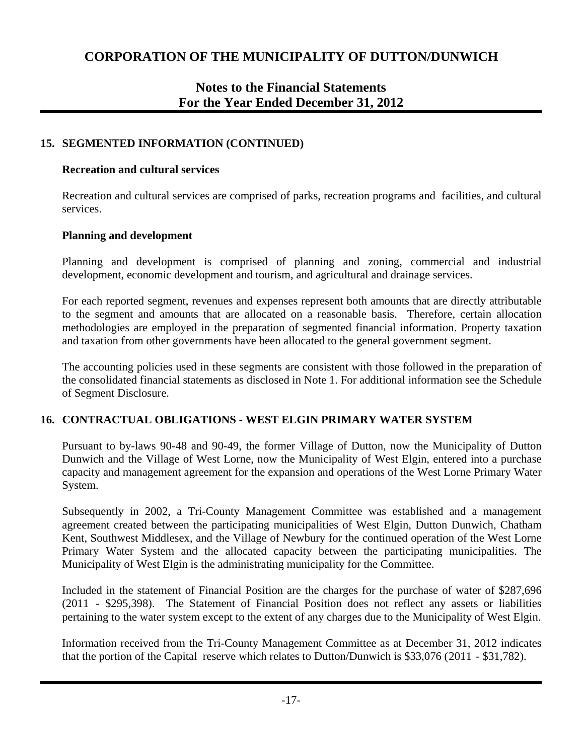### **Notes to the Financial Statements For the Year Ended December 31, 2012**

#### **15. SEGMENTED INFORMATION (CONTINUED)**

#### **Recreation and cultural services**

Recreation and cultural services are comprised of parks, recreation programs and facilities, and cultural services.

#### **Planning and development**

Planning and development is comprised of planning and zoning, commercial and industrial development, economic development and tourism, and agricultural and drainage services.

For each reported segment, revenues and expenses represent both amounts that are directly attributable to the segment and amounts that are allocated on a reasonable basis. Therefore, certain allocation methodologies are employed in the preparation of segmented financial information. Property taxation and taxation from other governments have been allocated to the general government segment.

The accounting policies used in these segments are consistent with those followed in the preparation of the consolidated financial statements as disclosed in Note 1. For additional information see the Schedule of Segment Disclosure.

### **16. CONTRACTUAL OBLIGATIONS - WEST ELGIN PRIMARY WATER SYSTEM**

Pursuant to by-laws 90-48 and 90-49, the former Village of Dutton, now the Municipality of Dutton Dunwich and the Village of West Lorne, now the Municipality of West Elgin, entered into a purchase capacity and management agreement for the expansion and operations of the West Lorne Primary Water System.

Subsequently in 2002, a Tri-County Management Committee was established and a management agreement created between the participating municipalities of West Elgin, Dutton Dunwich, Chatham Kent, Southwest Middlesex, and the Village of Newbury for the continued operation of the West Lorne Primary Water System and the allocated capacity between the participating municipalities. The Municipality of West Elgin is the administrating municipality for the Committee.

Included in the statement of Financial Position are the charges for the purchase of water of \$287,696 (2011 - \$295,398). The Statement of Financial Position does not reflect any assets or liabilities pertaining to the water system except to the extent of any charges due to the Municipality of West Elgin.

Information received from the Tri-County Management Committee as at December 31, 2012 indicates that the portion of the Capital reserve which relates to Dutton/Dunwich is \$33,076 (2011 - \$31,782).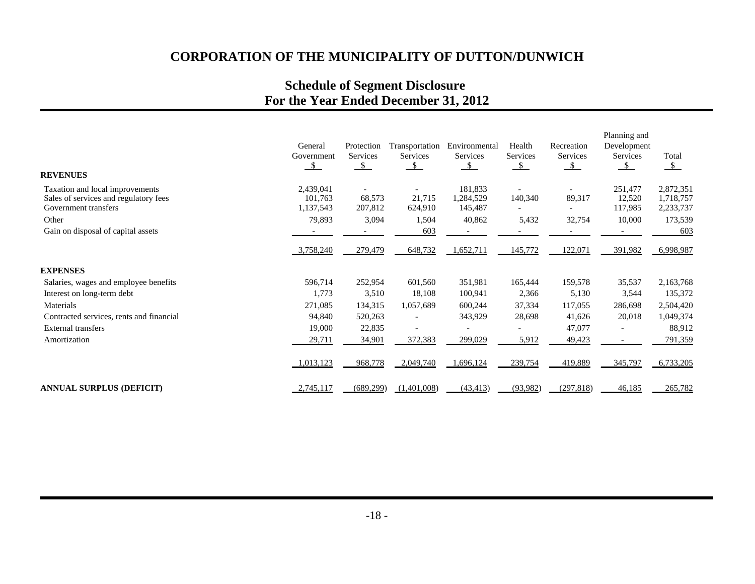# **Schedule of Segment Disclosure For the Year Ended December 31, 2012**

|                                          |               |                          |                          |               |                          |                 | Planning and             |            |
|------------------------------------------|---------------|--------------------------|--------------------------|---------------|--------------------------|-----------------|--------------------------|------------|
|                                          | General       | Protection               | Transportation           | Environmental | Health                   | Recreation      | Development              |            |
|                                          | Government    | <b>Services</b>          | <b>Services</b>          | Services      | <b>Services</b>          | <b>Services</b> | Services                 | Total      |
| <b>REVENUES</b>                          | $\mathcal{S}$ | $\mathcal{S}$            | $\mathbb{S}$             | $\mathcal{S}$ | $\sqrt{s}$               | $\mathcal{S}$   | $\mathcal{S}$            | $\sqrt{s}$ |
| Taxation and local improvements          | 2,439,041     | $\overline{\phantom{a}}$ | $\overline{\phantom{0}}$ | 181,833       | $\overline{\phantom{a}}$ |                 | 251,477                  | 2,872,351  |
| Sales of services and regulatory fees    | 101,763       | 68,573                   | 21,715                   | 1,284,529     | 140,340                  | 89,317          | 12,520                   | 1,718,757  |
| Government transfers                     | 1,137,543     | 207,812                  | 624,910                  | 145,487       |                          |                 | 117,985                  | 2,233,737  |
| Other                                    | 79,893        | 3,094                    | 1,504                    | 40,862        | 5,432                    | 32,754          | 10,000                   | 173,539    |
| Gain on disposal of capital assets       |               |                          | 603                      |               |                          |                 |                          | 603        |
|                                          | 3,758,240     | 279,479                  | 648,732                  | ,652,711      | 145,772                  | 122,071         | 391,982                  | 6,998,987  |
| <b>EXPENSES</b>                          |               |                          |                          |               |                          |                 |                          |            |
| Salaries, wages and employee benefits    | 596,714       | 252,954                  | 601,560                  | 351,981       | 165,444                  | 159,578         | 35,537                   | 2,163,768  |
| Interest on long-term debt               | 1,773         | 3,510                    | 18,108                   | 100,941       | 2,366                    | 5,130           | 3,544                    | 135,372    |
| Materials                                | 271,085       | 134,315                  | 1,057,689                | 600,244       | 37,334                   | 117,055         | 286,698                  | 2,504,420  |
| Contracted services, rents and financial | 94,840        | 520,263                  |                          | 343,929       | 28,698                   | 41,626          | 20,018                   | 1,049,374  |
| <b>External transfers</b>                | 19,000        | 22,835                   |                          |               |                          | 47,077          | $\overline{\phantom{a}}$ | 88,912     |
| Amortization                             | 29,711        | 34,901                   | 372,383                  | 299,029       | 5,912                    | 49,423          |                          | 791,359    |
|                                          | 1,013,123     | 968,778                  | 2,049,740                | ,696,124      | 239,754                  | 419,889         | 345,797                  | 6,733,205  |
| <b>ANNUAL SURPLUS (DEFICIT)</b>          | 2,745,117     | (689,299)                | (1,401,008)              | (43, 413)     | (93,982)                 | (297, 818)      | 46,185                   | 265,782    |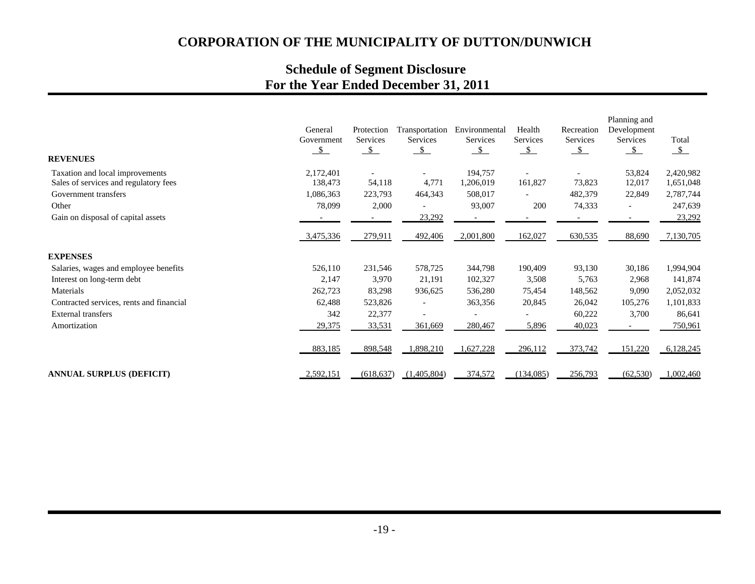# **Schedule of Segment Disclosure For the Year Ended December 31, 2011**

| <b>REVENUES</b>                          | General<br>Government<br>$\frac{\text{S}}{\text{S}}$ | Protection<br>Services<br>$\mathcal{S}$ | Transportation<br><b>Services</b><br>$\mathcal{S}$ | Environmental<br>Services<br>$\sqrt{s}$ | Health<br>Services<br>$\mathcal{S}$ | Recreation<br>Services<br>$\mathcal{S}$ | Planning and<br>Development<br>Services<br>$\mathcal{S}$ | Total<br>$\frac{\mathsf{s}}{\mathsf{s}}$ |
|------------------------------------------|------------------------------------------------------|-----------------------------------------|----------------------------------------------------|-----------------------------------------|-------------------------------------|-----------------------------------------|----------------------------------------------------------|------------------------------------------|
| Taxation and local improvements          | 2,172,401                                            | $\overline{\phantom{a}}$                |                                                    | 194,757                                 | $\overline{\phantom{a}}$            |                                         | 53,824                                                   | 2,420,982                                |
| Sales of services and regulatory fees    | 138,473                                              | 54,118                                  | 4,771                                              | 1,206,019                               | 161,827                             | 73,823                                  | 12,017                                                   | 1,651,048                                |
| Government transfers                     | 1,086,363                                            | 223,793                                 | 464,343                                            | 508,017                                 |                                     | 482,379                                 | 22,849                                                   | 2,787,744                                |
| Other                                    | 78,099                                               | 2,000                                   |                                                    | 93,007                                  | 200                                 | 74,333                                  | $\overline{\phantom{a}}$                                 | 247,639                                  |
| Gain on disposal of capital assets       |                                                      |                                         | 23,292                                             |                                         |                                     |                                         |                                                          | 23,292                                   |
|                                          | 3,475,336                                            | 279,911                                 | 492,406                                            | 2,001,800                               | 162,027                             | 630,535                                 | 88,690                                                   | 7,130,705                                |
| <b>EXPENSES</b>                          |                                                      |                                         |                                                    |                                         |                                     |                                         |                                                          |                                          |
| Salaries, wages and employee benefits    | 526,110                                              | 231,546                                 | 578,725                                            | 344,798                                 | 190,409                             | 93,130                                  | 30,186                                                   | 1,994,904                                |
| Interest on long-term debt               | 2,147                                                | 3,970                                   | 21,191                                             | 102,327                                 | 3,508                               | 5,763                                   | 2,968                                                    | 141,874                                  |
| Materials                                | 262,723                                              | 83,298                                  | 936,625                                            | 536,280                                 | 75,454                              | 148,562                                 | 9,090                                                    | 2,052,032                                |
| Contracted services, rents and financial | 62,488                                               | 523,826                                 |                                                    | 363,356                                 | 20,845                              | 26,042                                  | 105,276                                                  | 1,101,833                                |
| <b>External transfers</b>                | 342                                                  | 22,377                                  | $\overline{\phantom{a}}$                           |                                         |                                     | 60,222                                  | 3,700                                                    | 86,641                                   |
| Amortization                             | 29,375                                               | 33,531                                  | 361,669                                            | 280,467                                 | 5,896                               | 40,023                                  |                                                          | 750,961                                  |
|                                          | 883,185                                              | 898,548                                 | 1,898,210                                          | 1,627,228                               | 296,112                             | 373,742                                 | 151,220                                                  | 6,128,245                                |
| <b>ANNUAL SURPLUS (DEFICIT)</b>          | 2,592,151                                            | (618, 637)                              | (1,405,804)                                        | 374,572                                 | (134,085)                           | 256,793                                 | (62, 530)                                                | 1,002,460                                |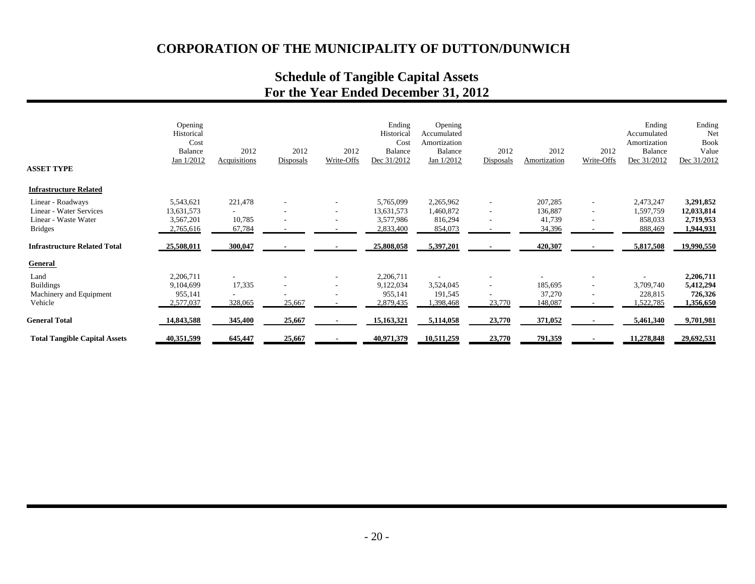### **Schedule of Tangible Capital Assets For the Year Ended December 31, 2012**

| <b>ASSET TYPE</b>                    | Opening<br>Historical<br>Cost<br>Balance<br>Jan 1/2012 | 2012<br>Acquisitions     | 2012<br>Disposals | 2012<br>Write-Offs       | Ending<br>Historical<br>Cost<br><b>Balance</b><br>Dec 31/2012 | Opening<br>Accumulated<br>Amortization<br>Balance<br>Jan 1/2012 | 2012<br>Disposals | 2012<br>Amortization | 2012<br>Write-Offs       | Ending<br>Accumulated<br>Amortization<br>Balance<br>Dec 31/2012 | Ending<br>Net<br><b>Book</b><br>Value<br>Dec 31/2012 |
|--------------------------------------|--------------------------------------------------------|--------------------------|-------------------|--------------------------|---------------------------------------------------------------|-----------------------------------------------------------------|-------------------|----------------------|--------------------------|-----------------------------------------------------------------|------------------------------------------------------|
| <b>Infrastructure Related</b>        |                                                        |                          |                   |                          |                                                               |                                                                 |                   |                      |                          |                                                                 |                                                      |
| Linear - Roadways                    | 5,543,621                                              | 221,478                  |                   |                          | 5,765,099                                                     | 2,265,962                                                       |                   | 207,285              | ٠                        | 2,473,247                                                       | 3,291,852                                            |
| Linear - Water Services              | 13,631,573                                             |                          |                   | $\overline{\phantom{a}}$ | 13,631,573                                                    | 1,460,872                                                       | $\sim$            | 136,887              | $\overline{\phantom{a}}$ | 1,597,759                                                       | 12,033,814                                           |
| Linear - Waste Water                 | 3,567,201                                              | 10,785                   |                   | $\overline{\phantom{a}}$ | 3,577,986                                                     | 816,294                                                         |                   | 41,739               |                          | 858,033                                                         | 2,719,953                                            |
| <b>Bridges</b>                       | 2,765,616                                              | 67,784                   |                   |                          | 2,833,400                                                     | 854,073                                                         |                   | 34,396               |                          | 888,469                                                         | 1,944,931                                            |
| <b>Infrastructure Related Total</b>  | 25,508,011                                             | 300,047                  |                   |                          | 25,808,058                                                    | 5,397,201                                                       |                   | 420,307              |                          | 5,817,508                                                       | 19,990,550                                           |
| General                              |                                                        |                          |                   |                          |                                                               |                                                                 |                   |                      |                          |                                                                 |                                                      |
| Land                                 | 2,206,711                                              | $\overline{\phantom{a}}$ |                   | ٠                        | 2,206,711                                                     |                                                                 |                   |                      |                          |                                                                 | 2,206,711                                            |
| <b>Buildings</b>                     | 9,104,699                                              | 17,335                   |                   | $\overline{\phantom{a}}$ | 9,122,034                                                     | 3,524,045                                                       |                   | 185,695              | ٠                        | 3,709,740                                                       | 5,412,294                                            |
| Machinery and Equipment              | 955,141                                                |                          |                   |                          | 955,141                                                       | 191,545                                                         |                   | 37,270               |                          | 228,815                                                         | 726,326                                              |
| Vehicle                              | 2,577,037                                              | 328,065                  | 25,667            |                          | 2,879,435                                                     | ,398,468                                                        | 23,770            | 148,087              |                          | 1,522,785                                                       | 1,356,650                                            |
| <b>General Total</b>                 | 14,843,588                                             | 345,400                  | 25,667            |                          | 15,163,321                                                    | 5,114,058                                                       | 23,770            | 371,052              |                          | 5,461,340                                                       | 9,701,981                                            |
| <b>Total Tangible Capital Assets</b> | 40,351,599                                             | 645,447                  | 25,667            |                          | 40,971,379                                                    | 10,511,259                                                      | 23,770            | 791,359              | $\blacksquare$           | 11,278,848                                                      | 29,692,531                                           |